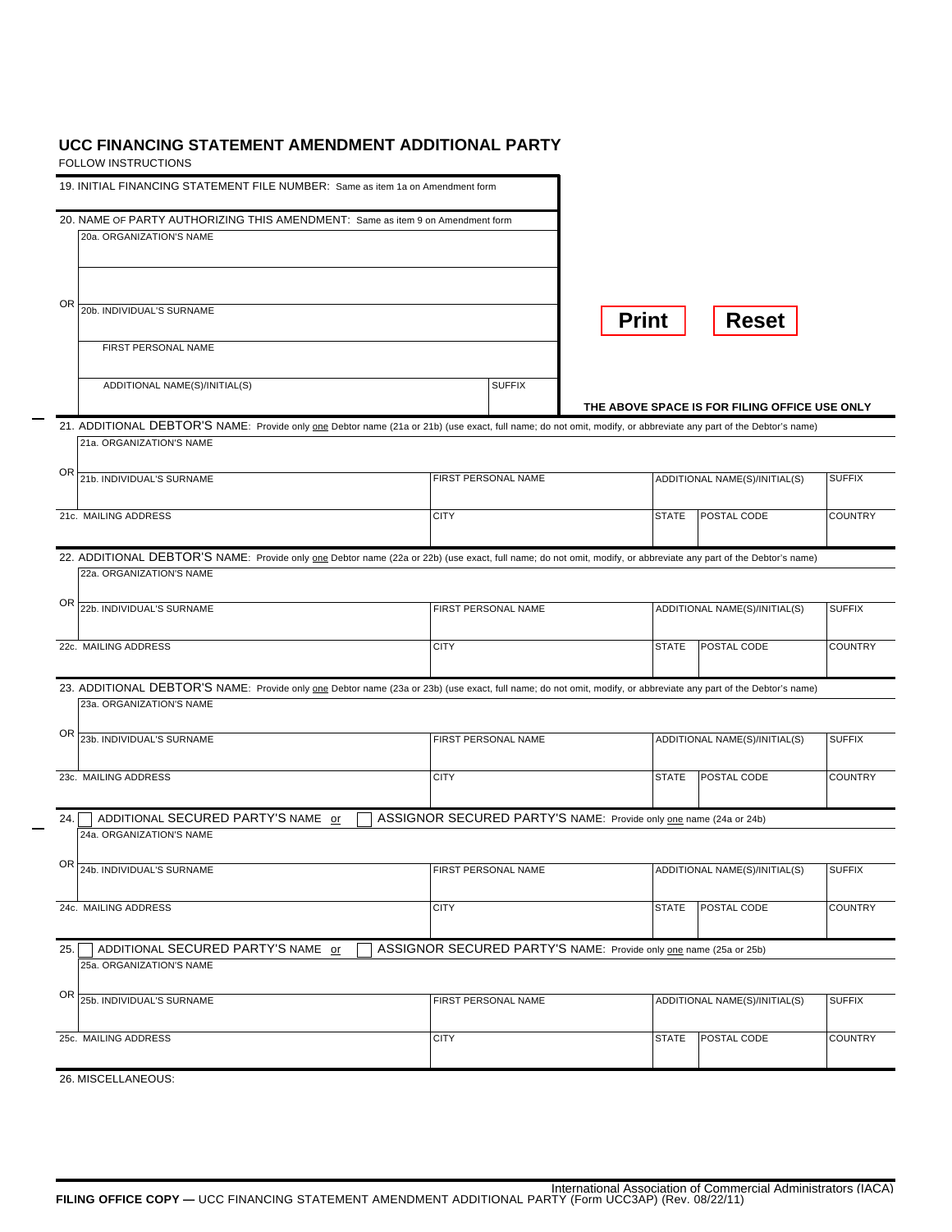## **UCC FINANCING STATEMENT AMENDMENT ADDITIONAL PARTY**

FOLLOW INSTRUCTIONS

| 19. INITIAL FINANCING STATEMENT FILE NUMBER: Same as item 1a on Amendment form                                                                                   |                                                                   |                                               |                |
|------------------------------------------------------------------------------------------------------------------------------------------------------------------|-------------------------------------------------------------------|-----------------------------------------------|----------------|
| 20. NAME OF PARTY AUTHORIZING THIS AMENDMENT: Same as item 9 on Amendment form                                                                                   |                                                                   |                                               |                |
| 20a. ORGANIZATION'S NAME                                                                                                                                         |                                                                   |                                               |                |
| OR<br>20b. INDIVIDUAL'S SURNAME                                                                                                                                  |                                                                   | <b>Reset</b><br><b>Print</b>                  |                |
| FIRST PERSONAL NAME                                                                                                                                              |                                                                   |                                               |                |
| ADDITIONAL NAME(S)/INITIAL(S)                                                                                                                                    | <b>SUFFIX</b>                                                     | THE ABOVE SPACE IS FOR FILING OFFICE USE ONLY |                |
| 21. ADDITIONAL DEBTOR'S NAME: Provide only one Debtor name (21a or 21b) (use exact, full name; do not omit, modify, or abbreviate any part of the Debtor's name) |                                                                   |                                               |                |
| 21a. ORGANIZATION'S NAME                                                                                                                                         |                                                                   |                                               |                |
| OR<br>21b. INDIVIDUAL'S SURNAME                                                                                                                                  | FIRST PERSONAL NAME                                               | ADDITIONAL NAME(S)/INITIAL(S)                 | <b>SUFFIX</b>  |
| 21c. MAILING ADDRESS                                                                                                                                             | <b>CITY</b>                                                       | <b>STATE</b><br><b>POSTAL CODE</b>            | <b>COUNTRY</b> |
| 22. ADDITIONAL DEBTOR'S NAME: Provide only one Debtor name (22a or 22b) (use exact, full name; do not omit, modify, or abbreviate any part of the Debtor's name) |                                                                   |                                               |                |
| 22a. ORGANIZATION'S NAME                                                                                                                                         |                                                                   |                                               |                |
| OR<br>22b. INDIVIDUAL'S SURNAME                                                                                                                                  | FIRST PERSONAL NAME                                               | ADDITIONAL NAME(S)/INITIAL(S)                 | <b>SUFFIX</b>  |
| 22c. MAILING ADDRESS                                                                                                                                             | <b>CITY</b>                                                       | <b>STATE</b><br>POSTAL CODE                   | <b>COUNTRY</b> |
| 23. ADDITIONAL DEBTOR'S NAME: Provide only one Debtor name (23a or 23b) (use exact, full name; do not omit, modify, or abbreviate any part of the Debtor's name) |                                                                   |                                               |                |
| 23a. ORGANIZATION'S NAME                                                                                                                                         |                                                                   |                                               |                |
| ΟR<br>23b. INDIVIDUAL'S SURNAME                                                                                                                                  | FIRST PERSONAL NAME                                               | ADDITIONAL NAME(S)/INITIAL(S)                 | <b>SUFFIX</b>  |
| 23c. MAILING ADDRESS                                                                                                                                             | <b>CITY</b>                                                       | <b>STATE</b><br>POSTAL CODE                   | <b>COUNTRY</b> |
| ADDITIONAL SECURED PARTY'S NAME or<br>24.                                                                                                                        | ASSIGNOR SECURED PARTY'S NAME: Provide only one name (24a or 24b) |                                               |                |
| 24a. ORGANIZATION'S NAME                                                                                                                                         |                                                                   |                                               |                |
| OR<br>24b. INDIVIDUAL'S SURNAME                                                                                                                                  | FIRST PERSONAL NAME                                               | ADDITIONAL NAME(S)/INITIAL(S)                 | <b>SUFFIX</b>  |
| 24c. MAILING ADDRESS                                                                                                                                             | <b>CITY</b>                                                       | <b>STATE</b><br><b>POSTAL CODE</b>            | <b>COUNTRY</b> |
| ADDITIONAL SECURED PARTY'S NAME or<br>25.<br>25a. ORGANIZATION'S NAME                                                                                            | ASSIGNOR SECURED PARTY'S NAME: Provide only one name (25a or 25b) |                                               |                |
|                                                                                                                                                                  |                                                                   |                                               |                |
| OR<br>25b. INDIVIDUAL'S SURNAME                                                                                                                                  | FIRST PERSONAL NAME                                               | ADDITIONAL NAME(S)/INITIAL(S)                 | <b>SUFFIX</b>  |
| 25c. MAILING ADDRESS                                                                                                                                             | <b>CITY</b>                                                       | <b>STATE</b><br>POSTAL CODE                   | <b>COUNTRY</b> |
| 26. MISCELLANEOUS:                                                                                                                                               |                                                                   |                                               |                |